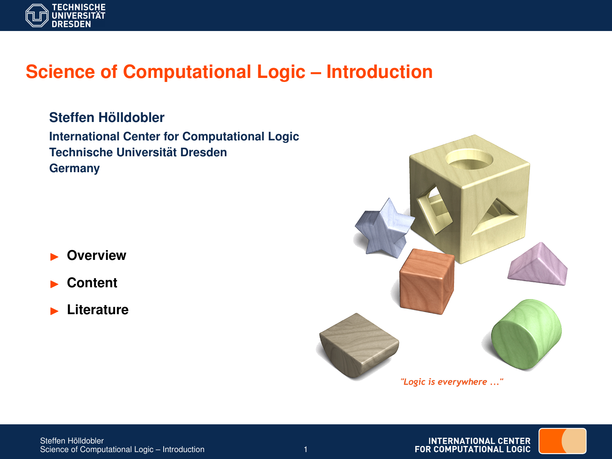

## **Science of Computational Logic – Introduction**

 $Steffen H<sub>o</sub>$ *ildobler* **International Center for Computational Logic Technische Universitat Dresden ¨ Germany**

I **Overview**

- I **Content**
- I **Literature**



**INTERNATIONAL CENTER** FOR COMPUTATIONAL LOGIC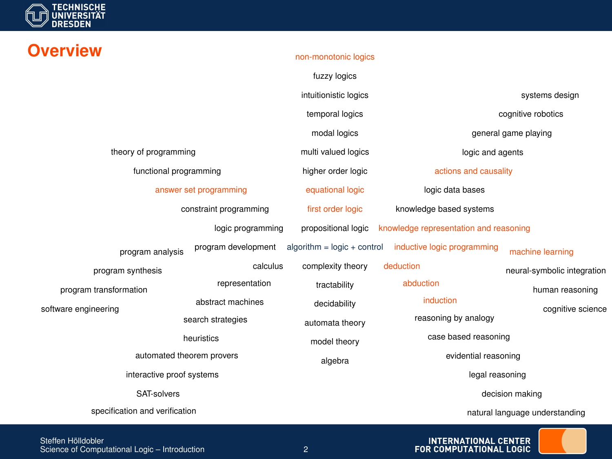

## non-monotonic logics

|                                                |  |                        | fuzzy logics                  |                                        |                                      |
|------------------------------------------------|--|------------------------|-------------------------------|----------------------------------------|--------------------------------------|
|                                                |  |                        | intuitionistic logics         | systems design                         |                                      |
|                                                |  |                        | temporal logics               | cognitive robotics                     |                                      |
|                                                |  |                        | modal logics                  | general game playing                   |                                      |
| theory of programming                          |  |                        | multi valued logics           | logic and agents                       |                                      |
| functional programming                         |  |                        | higher order logic            | actions and causality                  |                                      |
| answer set programming                         |  |                        | equational logic              | logic data bases                       |                                      |
|                                                |  | constraint programming | first order logic             | knowledge based systems                |                                      |
|                                                |  | logic programming      | propositional logic           | knowledge representation and reasoning |                                      |
| program analysis                               |  | program development    | $algorithm = logic + control$ | inductive logic programming            | machine learning                     |
| program synthesis                              |  | calculus               | complexity theory             | deduction                              | neural-symbolic integration          |
| program transformation<br>software engineering |  | representation         | tractability                  | abduction                              | human reasoning<br>cognitive science |
|                                                |  | abstract machines      | decidability                  | induction                              |                                      |
|                                                |  | search strategies      | automata theory               | reasoning by analogy                   |                                      |
| heuristics                                     |  |                        | model theory                  | case based reasoning                   |                                      |
| automated theorem provers                      |  |                        | algebra                       | evidential reasoning                   |                                      |
| interactive proof systems                      |  |                        |                               | legal reasoning                        |                                      |
| SAT-solvers                                    |  |                        |                               | decision making                        |                                      |
| specification and verification                 |  |                        |                               | natural language understanding         |                                      |

Steffen Hölldobler Science of Computational Logic – Introduction 2 INTERNATIONAL CENTER<br>FOR COMPUTATIONAL LOGIC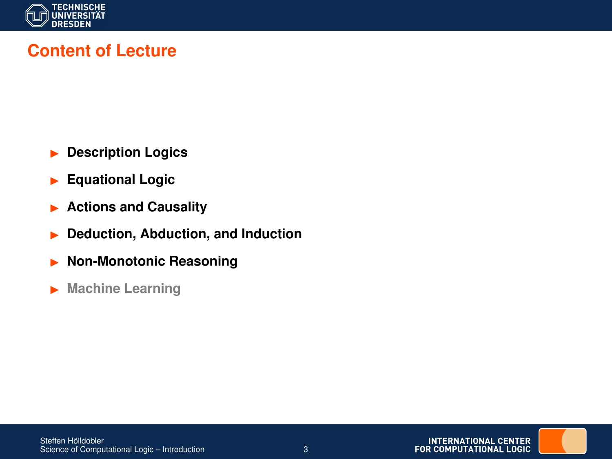

## **Content of Lecture**

- **Description Logics**
- **Equational Logic**
- **Actions and Causality**
- **P** Deduction, Abduction, and Induction
- **Non-Monotonic Reasoning**
- **Machine Learning**